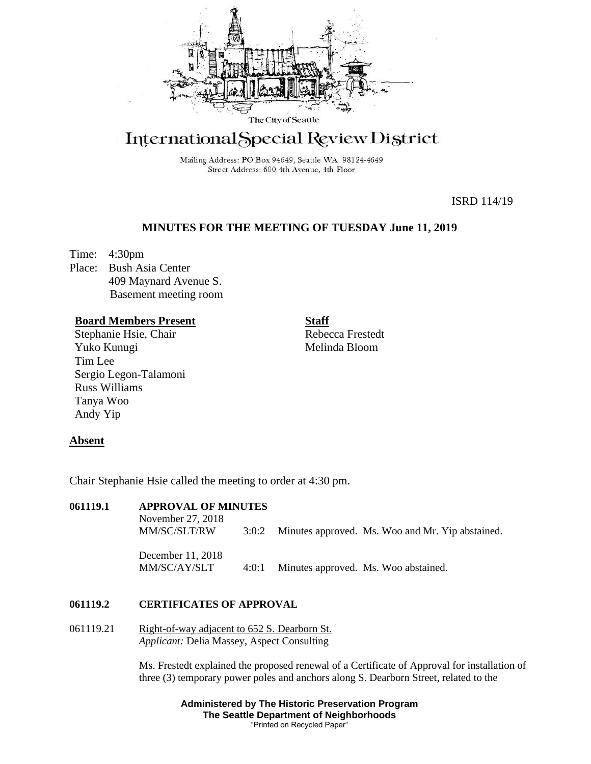

# International Special Review District

Mailing Address: PO Box 94649, Seattle WA 98124-4649 Street Address: 600 4th Avenue, 4th Floor

ISRD 114/19

# **MINUTES FOR THE MEETING OF TUESDAY June 11, 2019**

Time: 4:30pm Place: Bush Asia Center 409 Maynard Avenue S. Basement meeting room

# **Board Members Present**

Stephanie Hsie, Chair Yuko Kunugi Tim Lee Sergio Legon-Talamoni Russ Williams Tanya Woo Andy Yip

**Staff**

Rebecca Frestedt Melinda Bloom

# **Absent**

Chair Stephanie Hsie called the meeting to order at 4:30 pm.

| 061119.1 | <b>APPROVAL OF MINUTES</b><br>November 27, 2018<br>MM/SC/SLT/RW | 3:0:2 | Minutes approved. Ms. Woo and Mr. Yip abstained. |
|----------|-----------------------------------------------------------------|-------|--------------------------------------------------|
|          | December 11, 2018<br>MM/SC/AY/SLT                               | 4:0:1 | Minutes approved. Ms. Woo abstained.             |

# **061119.2 CERTIFICATES OF APPROVAL**

061119.21 Right-of-way adjacent to 652 S. Dearborn St. *Applicant:* Delia Massey, Aspect Consulting

> Ms. Frestedt explained the proposed renewal of a Certificate of Approval for installation of three (3) temporary power poles and anchors along S. Dearborn Street, related to the

> > **Administered by The Historic Preservation Program The Seattle Department of Neighborhoods** "Printed on Recycled Paper"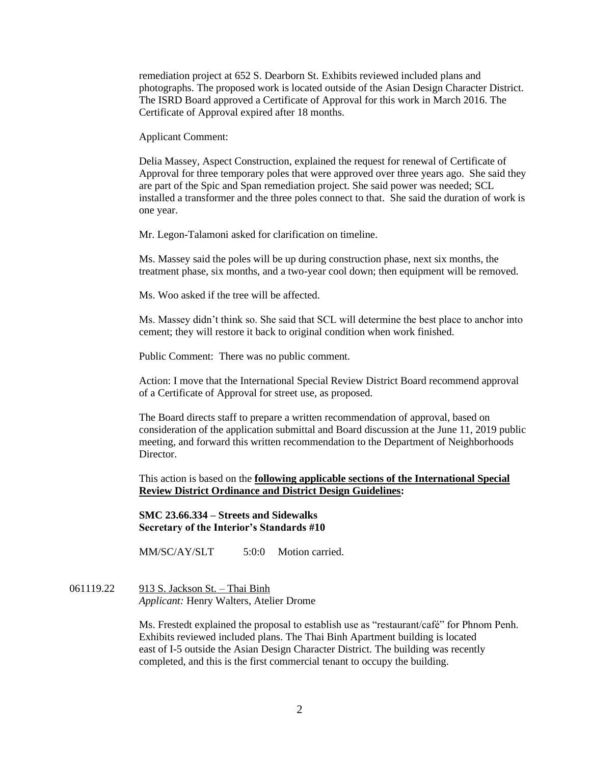remediation project at 652 S. Dearborn St. Exhibits reviewed included plans and photographs. The proposed work is located outside of the Asian Design Character District. The ISRD Board approved a Certificate of Approval for this work in March 2016. The Certificate of Approval expired after 18 months.

Applicant Comment:

Delia Massey, Aspect Construction, explained the request for renewal of Certificate of Approval for three temporary poles that were approved over three years ago. She said they are part of the Spic and Span remediation project. She said power was needed; SCL installed a transformer and the three poles connect to that. She said the duration of work is one year.

Mr. Legon-Talamoni asked for clarification on timeline.

Ms. Massey said the poles will be up during construction phase, next six months, the treatment phase, six months, and a two-year cool down; then equipment will be removed.

Ms. Woo asked if the tree will be affected.

Ms. Massey didn't think so. She said that SCL will determine the best place to anchor into cement; they will restore it back to original condition when work finished.

Public Comment: There was no public comment.

Action: I move that the International Special Review District Board recommend approval of a Certificate of Approval for street use, as proposed.

The Board directs staff to prepare a written recommendation of approval, based on consideration of the application submittal and Board discussion at the June 11, 2019 public meeting, and forward this written recommendation to the Department of Neighborhoods Director.

This action is based on the **following applicable sections of the International Special Review District Ordinance and District Design Guidelines:** 

**SMC 23.66.334 – Streets and Sidewalks Secretary of the Interior's Standards #10**

MM/SC/AY/SLT 5:0:0 Motion carried.

061119.22 913 S. Jackson St. – Thai Binh *Applicant:* Henry Walters, Atelier Drome

> Ms. Frestedt explained the proposal to establish use as "restaurant/café" for Phnom Penh. Exhibits reviewed included plans. The Thai Binh Apartment building is located east of I-5 outside the Asian Design Character District. The building was recently completed, and this is the first commercial tenant to occupy the building.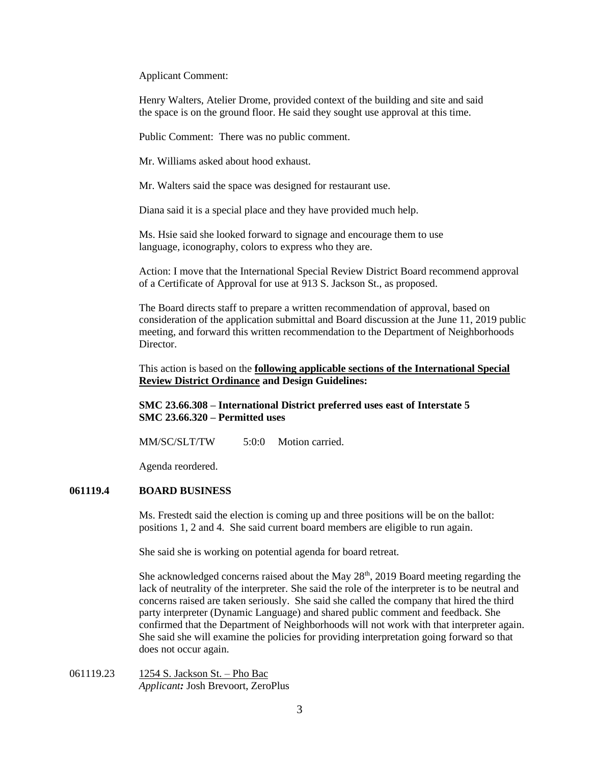Applicant Comment:

Henry Walters, Atelier Drome, provided context of the building and site and said the space is on the ground floor. He said they sought use approval at this time.

Public Comment: There was no public comment.

Mr. Williams asked about hood exhaust.

Mr. Walters said the space was designed for restaurant use.

Diana said it is a special place and they have provided much help.

Ms. Hsie said she looked forward to signage and encourage them to use language, iconography, colors to express who they are.

Action: I move that the International Special Review District Board recommend approval of a Certificate of Approval for use at 913 S. Jackson St., as proposed.

The Board directs staff to prepare a written recommendation of approval, based on consideration of the application submittal and Board discussion at the June 11, 2019 public meeting, and forward this written recommendation to the Department of Neighborhoods Director.

This action is based on the **following applicable sections of the International Special Review District Ordinance and Design Guidelines:** 

**SMC 23.66.308 – International District preferred uses east of Interstate 5 SMC 23.66.320 – Permitted uses**

MM/SC/SLT/TW 5:0:0 Motion carried.

Agenda reordered.

### **061119.4 BOARD BUSINESS**

Ms. Frestedt said the election is coming up and three positions will be on the ballot: positions 1, 2 and 4. She said current board members are eligible to run again.

She said she is working on potential agenda for board retreat.

She acknowledged concerns raised about the May 28<sup>th</sup>, 2019 Board meeting regarding the lack of neutrality of the interpreter. She said the role of the interpreter is to be neutral and concerns raised are taken seriously. She said she called the company that hired the third party interpreter (Dynamic Language) and shared public comment and feedback. She confirmed that the Department of Neighborhoods will not work with that interpreter again. She said she will examine the policies for providing interpretation going forward so that does not occur again.

061119.23 1254 S. Jackson St. – Pho Bac *Applicant:* Josh Brevoort, ZeroPlus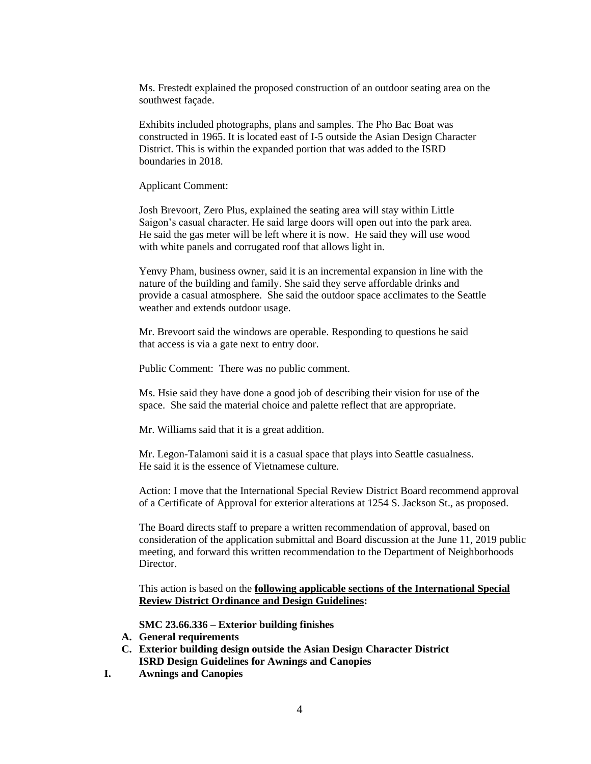Ms. Frestedt explained the proposed construction of an outdoor seating area on the southwest façade.

Exhibits included photographs, plans and samples. The Pho Bac Boat was constructed in 1965. It is located east of I-5 outside the Asian Design Character District. This is within the expanded portion that was added to the ISRD boundaries in 2018.

Applicant Comment:

Josh Brevoort, Zero Plus, explained the seating area will stay within Little Saigon's casual character. He said large doors will open out into the park area. He said the gas meter will be left where it is now. He said they will use wood with white panels and corrugated roof that allows light in.

Yenvy Pham, business owner, said it is an incremental expansion in line with the nature of the building and family. She said they serve affordable drinks and provide a casual atmosphere. She said the outdoor space acclimates to the Seattle weather and extends outdoor usage.

Mr. Brevoort said the windows are operable. Responding to questions he said that access is via a gate next to entry door.

Public Comment: There was no public comment.

Ms. Hsie said they have done a good job of describing their vision for use of the space. She said the material choice and palette reflect that are appropriate.

Mr. Williams said that it is a great addition.

Mr. Legon-Talamoni said it is a casual space that plays into Seattle casualness. He said it is the essence of Vietnamese culture.

Action: I move that the International Special Review District Board recommend approval of a Certificate of Approval for exterior alterations at 1254 S. Jackson St., as proposed.

The Board directs staff to prepare a written recommendation of approval, based on consideration of the application submittal and Board discussion at the June 11, 2019 public meeting, and forward this written recommendation to the Department of Neighborhoods Director.

This action is based on the **following applicable sections of the International Special Review District Ordinance and Design Guidelines:** 

**SMC 23.66.336 – Exterior building finishes**

- **A. General requirements**
- **C. Exterior building design outside the Asian Design Character District ISRD Design Guidelines for Awnings and Canopies**
- **I. Awnings and Canopies**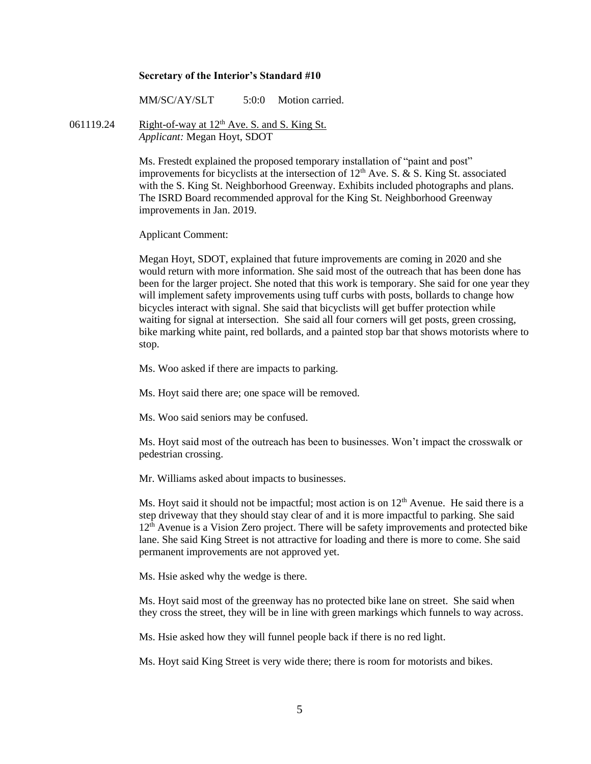#### **Secretary of the Interior's Standard #10**

MM/SC/AY/SLT 5:0:0 Motion carried.

061119.24 Right-of-way at  $12<sup>th</sup>$  Ave. S. and S. King St. *Applicant:* Megan Hoyt, SDOT

> Ms. Frestedt explained the proposed temporary installation of "paint and post" improvements for bicyclists at the intersection of  $12<sup>th</sup>$  Ave. S. & S. King St. associated with the S. King St. Neighborhood Greenway. Exhibits included photographs and plans. The ISRD Board recommended approval for the King St. Neighborhood Greenway improvements in Jan. 2019.

Applicant Comment:

Megan Hoyt, SDOT, explained that future improvements are coming in 2020 and she would return with more information. She said most of the outreach that has been done has been for the larger project. She noted that this work is temporary. She said for one year they will implement safety improvements using tuff curbs with posts, bollards to change how bicycles interact with signal. She said that bicyclists will get buffer protection while waiting for signal at intersection. She said all four corners will get posts, green crossing, bike marking white paint, red bollards, and a painted stop bar that shows motorists where to stop.

Ms. Woo asked if there are impacts to parking.

Ms. Hoyt said there are; one space will be removed.

Ms. Woo said seniors may be confused.

Ms. Hoyt said most of the outreach has been to businesses. Won't impact the crosswalk or pedestrian crossing.

Mr. Williams asked about impacts to businesses.

Ms. Hoyt said it should not be impactful; most action is on  $12<sup>th</sup>$  Avenue. He said there is a step driveway that they should stay clear of and it is more impactful to parking. She said  $12<sup>th</sup>$  Avenue is a Vision Zero project. There will be safety improvements and protected bike lane. She said King Street is not attractive for loading and there is more to come. She said permanent improvements are not approved yet.

Ms. Hsie asked why the wedge is there.

Ms. Hoyt said most of the greenway has no protected bike lane on street. She said when they cross the street, they will be in line with green markings which funnels to way across.

Ms. Hsie asked how they will funnel people back if there is no red light.

Ms. Hoyt said King Street is very wide there; there is room for motorists and bikes.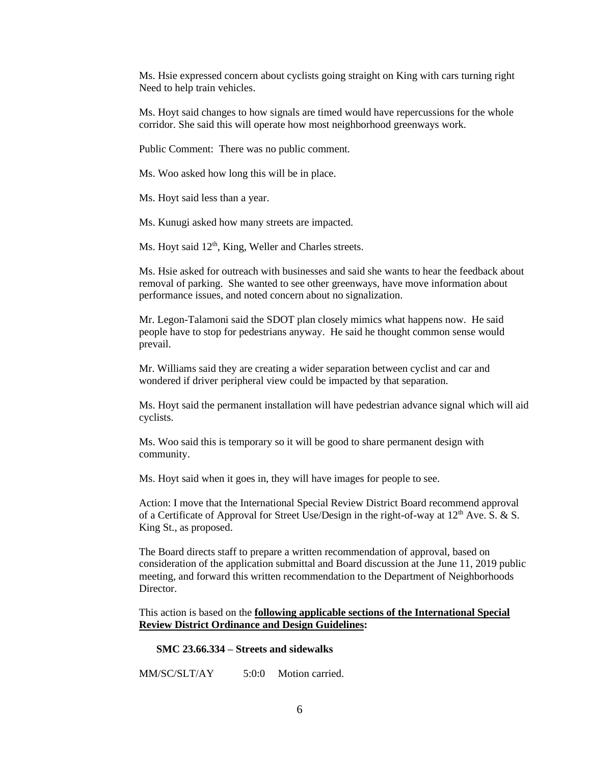Ms. Hsie expressed concern about cyclists going straight on King with cars turning right Need to help train vehicles.

Ms. Hoyt said changes to how signals are timed would have repercussions for the whole corridor. She said this will operate how most neighborhood greenways work.

Public Comment: There was no public comment.

Ms. Woo asked how long this will be in place.

Ms. Hoyt said less than a year.

Ms. Kunugi asked how many streets are impacted.

Ms. Hoyt said 12<sup>th</sup>, King, Weller and Charles streets.

Ms. Hsie asked for outreach with businesses and said she wants to hear the feedback about removal of parking. She wanted to see other greenways, have move information about performance issues, and noted concern about no signalization.

Mr. Legon-Talamoni said the SDOT plan closely mimics what happens now. He said people have to stop for pedestrians anyway. He said he thought common sense would prevail.

Mr. Williams said they are creating a wider separation between cyclist and car and wondered if driver peripheral view could be impacted by that separation.

Ms. Hoyt said the permanent installation will have pedestrian advance signal which will aid cyclists.

Ms. Woo said this is temporary so it will be good to share permanent design with community.

Ms. Hoyt said when it goes in, they will have images for people to see.

Action: I move that the International Special Review District Board recommend approval of a Certificate of Approval for Street Use/Design in the right-of-way at  $12<sup>th</sup>$  Ave. S. & S. King St., as proposed.

The Board directs staff to prepare a written recommendation of approval, based on consideration of the application submittal and Board discussion at the June 11, 2019 public meeting, and forward this written recommendation to the Department of Neighborhoods Director.

This action is based on the **following applicable sections of the International Special Review District Ordinance and Design Guidelines:** 

#### **SMC 23.66.334 – Streets and sidewalks**

MM/SC/SLT/AY 5:0:0 Motion carried.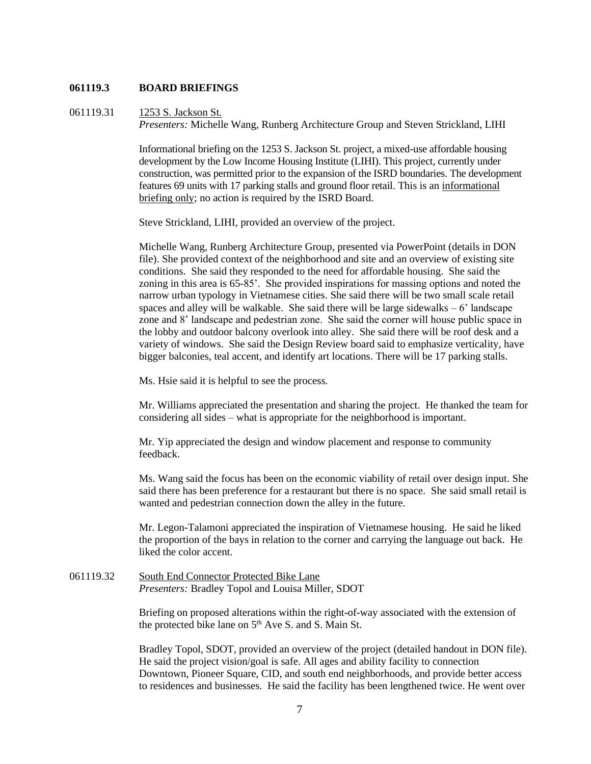## **061119.3 BOARD BRIEFINGS**

061119.31 1253 S. Jackson St. *Presenters:* Michelle Wang, Runberg Architecture Group and Steven Strickland, LIHI

> Informational briefing on the 1253 S. Jackson St. project, a mixed-use affordable housing development by the Low Income Housing Institute (LIHI). This project, currently under construction, was permitted prior to the expansion of the ISRD boundaries. The development features 69 units with 17 parking stalls and ground floor retail. This is an informational briefing only; no action is required by the ISRD Board.

Steve Strickland, LIHI, provided an overview of the project.

Michelle Wang, Runberg Architecture Group, presented via PowerPoint (details in DON file). She provided context of the neighborhood and site and an overview of existing site conditions. She said they responded to the need for affordable housing. She said the zoning in this area is 65-85'. She provided inspirations for massing options and noted the narrow urban typology in Vietnamese cities. She said there will be two small scale retail spaces and alley will be walkable. She said there will be large sidewalks  $-6'$  landscape zone and 8' landscape and pedestrian zone. She said the corner will house public space in the lobby and outdoor balcony overlook into alley. She said there will be roof desk and a variety of windows. She said the Design Review board said to emphasize verticality, have bigger balconies, teal accent, and identify art locations. There will be 17 parking stalls.

Ms. Hsie said it is helpful to see the process.

Mr. Williams appreciated the presentation and sharing the project. He thanked the team for considering all sides – what is appropriate for the neighborhood is important.

Mr. Yip appreciated the design and window placement and response to community feedback.

Ms. Wang said the focus has been on the economic viability of retail over design input. She said there has been preference for a restaurant but there is no space. She said small retail is wanted and pedestrian connection down the alley in the future.

Mr. Legon-Talamoni appreciated the inspiration of Vietnamese housing. He said he liked the proportion of the bays in relation to the corner and carrying the language out back. He liked the color accent.

061119.32 South End Connector Protected Bike Lane *Presenters:* Bradley Topol and Louisa Miller, SDOT

> Briefing on proposed alterations within the right-of-way associated with the extension of the protected bike lane on 5<sup>th</sup> Ave S. and S. Main St.

Bradley Topol, SDOT, provided an overview of the project (detailed handout in DON file). He said the project vision/goal is safe. All ages and ability facility to connection Downtown, Pioneer Square, CID, and south end neighborhoods, and provide better access to residences and businesses. He said the facility has been lengthened twice. He went over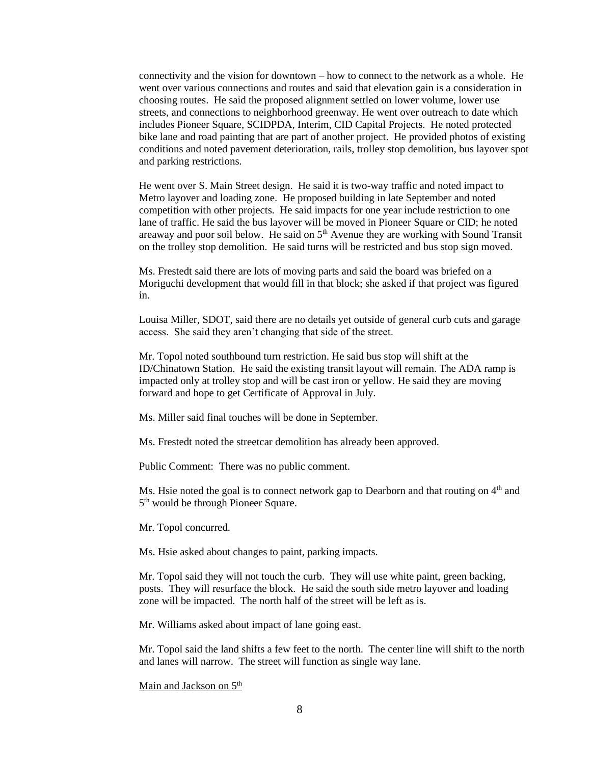connectivity and the vision for downtown – how to connect to the network as a whole. He went over various connections and routes and said that elevation gain is a consideration in choosing routes. He said the proposed alignment settled on lower volume, lower use streets, and connections to neighborhood greenway. He went over outreach to date which includes Pioneer Square, SCIDPDA, Interim, CID Capital Projects. He noted protected bike lane and road painting that are part of another project. He provided photos of existing conditions and noted pavement deterioration, rails, trolley stop demolition, bus layover spot and parking restrictions.

He went over S. Main Street design. He said it is two-way traffic and noted impact to Metro layover and loading zone. He proposed building in late September and noted competition with other projects. He said impacts for one year include restriction to one lane of traffic. He said the bus layover will be moved in Pioneer Square or CID; he noted areaway and poor soil below. He said on 5<sup>th</sup> Avenue they are working with Sound Transit on the trolley stop demolition. He said turns will be restricted and bus stop sign moved.

Ms. Frestedt said there are lots of moving parts and said the board was briefed on a Moriguchi development that would fill in that block; she asked if that project was figured in.

Louisa Miller, SDOT, said there are no details yet outside of general curb cuts and garage access. She said they aren't changing that side of the street.

Mr. Topol noted southbound turn restriction. He said bus stop will shift at the ID/Chinatown Station. He said the existing transit layout will remain. The ADA ramp is impacted only at trolley stop and will be cast iron or yellow. He said they are moving forward and hope to get Certificate of Approval in July.

Ms. Miller said final touches will be done in September.

Ms. Frestedt noted the streetcar demolition has already been approved.

Public Comment: There was no public comment.

Ms. Hsie noted the goal is to connect network gap to Dearborn and that routing on  $4<sup>th</sup>$  and 5<sup>th</sup> would be through Pioneer Square.

Mr. Topol concurred.

Ms. Hsie asked about changes to paint, parking impacts.

Mr. Topol said they will not touch the curb. They will use white paint, green backing, posts. They will resurface the block. He said the south side metro layover and loading zone will be impacted. The north half of the street will be left as is.

Mr. Williams asked about impact of lane going east.

Mr. Topol said the land shifts a few feet to the north. The center line will shift to the north and lanes will narrow. The street will function as single way lane.

Main and Jackson on  $5<sup>th</sup>$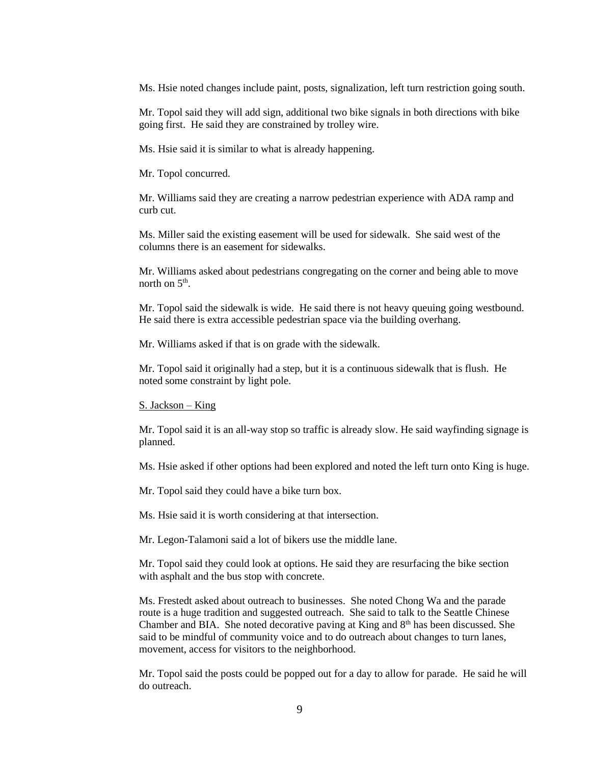Ms. Hsie noted changes include paint, posts, signalization, left turn restriction going south.

Mr. Topol said they will add sign, additional two bike signals in both directions with bike going first. He said they are constrained by trolley wire.

Ms. Hsie said it is similar to what is already happening.

Mr. Topol concurred.

Mr. Williams said they are creating a narrow pedestrian experience with ADA ramp and curb cut.

Ms. Miller said the existing easement will be used for sidewalk. She said west of the columns there is an easement for sidewalks.

Mr. Williams asked about pedestrians congregating on the corner and being able to move north on  $5<sup>th</sup>$ .

Mr. Topol said the sidewalk is wide. He said there is not heavy queuing going westbound. He said there is extra accessible pedestrian space via the building overhang.

Mr. Williams asked if that is on grade with the sidewalk.

Mr. Topol said it originally had a step, but it is a continuous sidewalk that is flush. He noted some constraint by light pole.

S. Jackson – King

Mr. Topol said it is an all-way stop so traffic is already slow. He said wayfinding signage is planned.

Ms. Hsie asked if other options had been explored and noted the left turn onto King is huge.

Mr. Topol said they could have a bike turn box.

Ms. Hsie said it is worth considering at that intersection.

Mr. Legon-Talamoni said a lot of bikers use the middle lane.

Mr. Topol said they could look at options. He said they are resurfacing the bike section with asphalt and the bus stop with concrete.

Ms. Frestedt asked about outreach to businesses. She noted Chong Wa and the parade route is a huge tradition and suggested outreach. She said to talk to the Seattle Chinese Chamber and BIA. She noted decorative paving at King and 8<sup>th</sup> has been discussed. She said to be mindful of community voice and to do outreach about changes to turn lanes, movement, access for visitors to the neighborhood.

Mr. Topol said the posts could be popped out for a day to allow for parade. He said he will do outreach.